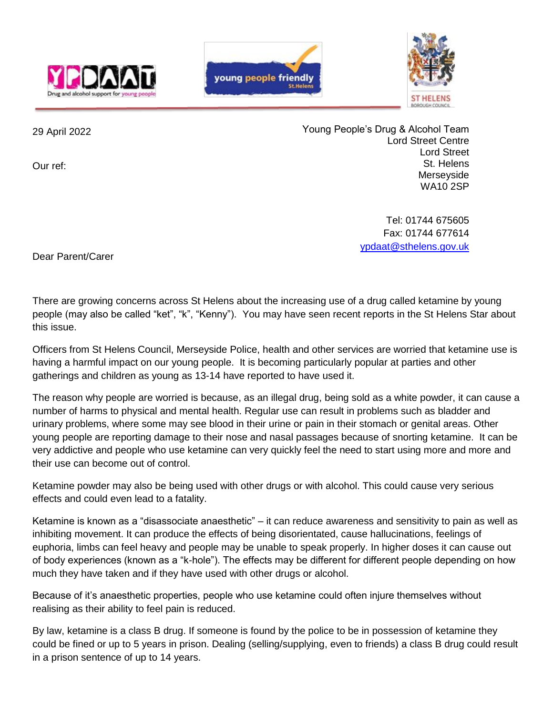





29 April 2022

Our ref:

Young People's Drug & Alcohol Team Lord Street Centre Lord Street St. Helens Merseyside WA10 2SP

> Tel: 01744 675605 Fax: 01744 677614 [ypdaat@sthelens.gov.uk](mailto:ypdaat@sthelens.gov.uk)

Dear Parent/Carer

There are growing concerns across St Helens about the increasing use of a drug called ketamine by young people (may also be called "ket", "k", "Kenny"). You may have seen recent reports in the St Helens Star about this issue.

Officers from St Helens Council, Merseyside Police, health and other services are worried that ketamine use is having a harmful impact on our young people. It is becoming particularly popular at parties and other gatherings and children as young as 13-14 have reported to have used it.

The reason why people are worried is because, as an illegal drug, being sold as a white powder, it can cause a number of harms to physical and mental health. Regular use can result in problems such as bladder and urinary problems, where some may see blood in their urine or pain in their stomach or genital areas. Other young people are reporting damage to their nose and nasal passages because of snorting ketamine. It can be very addictive and people who use ketamine can very quickly feel the need to start using more and more and their use can become out of control.

Ketamine powder may also be being used with other drugs or with alcohol. This could cause very serious effects and could even lead to a fatality.

Ketamine is known as a "disassociate anaesthetic" – it can reduce awareness and sensitivity to pain as well as inhibiting movement. It can produce the effects of being disorientated, cause hallucinations, feelings of euphoria, limbs can feel heavy and people may be unable to speak properly. In higher doses it can cause out of body experiences (known as a "k-hole"). The effects may be different for different people depending on how much they have taken and if they have used with other drugs or alcohol.

Because of it's anaesthetic properties, people who use ketamine could often injure themselves without realising as their ability to feel pain is reduced.

By law, ketamine is a class B drug. If someone is found by the police to be in possession of ketamine they could be fined or up to 5 years in prison. Dealing (selling/supplying, even to friends) a class B drug could result in a prison sentence of up to 14 years.